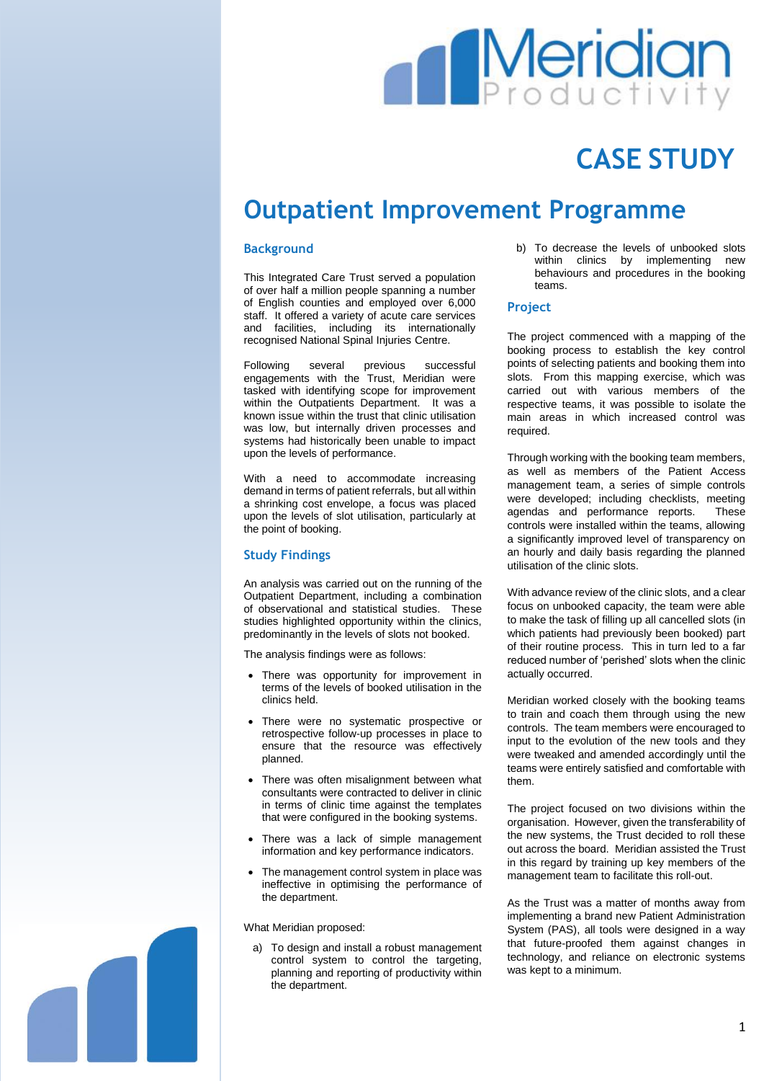# **Meridiar**

## **CASE STUDY**

### **Outpatient Improvement Programme**

#### **Background**

This Integrated Care Trust served a population of over half a million people spanning a number of English counties and employed over 6,000 staff. It offered a variety of acute care services and facilities, including its internationally recognised National Spinal Injuries Centre.

Following several previous successful engagements with the Trust, Meridian were tasked with identifying scope for improvement within the Outpatients Department. It was a known issue within the trust that clinic utilisation was low, but internally driven processes and systems had historically been unable to impact upon the levels of performance.

With a need to accommodate increasing demand in terms of patient referrals, but all within a shrinking cost envelope, a focus was placed upon the levels of slot utilisation, particularly at the point of booking.

#### **Study Findings**

An analysis was carried out on the running of the Outpatient Department, including a combination of observational and statistical studies. These studies highlighted opportunity within the clinics, predominantly in the levels of slots not booked.

The analysis findings were as follows:

- There was opportunity for improvement in terms of the levels of booked utilisation in the clinics held.
- There were no systematic prospective or retrospective follow-up processes in place to ensure that the resource was effectively planned.
- There was often misalignment between what consultants were contracted to deliver in clinic in terms of clinic time against the templates that were configured in the booking systems.
- There was a lack of simple management information and key performance indicators.
- The management control system in place was ineffective in optimising the performance of the department.

What Meridian proposed:

a) To design and install a robust management control system to control the targeting, planning and reporting of productivity within the department.

b) To decrease the levels of unbooked slots within clinics by implementing new behaviours and procedures in the booking teams.

#### **Project**

The project commenced with a mapping of the booking process to establish the key control points of selecting patients and booking them into slots. From this mapping exercise, which was carried out with various members of the respective teams, it was possible to isolate the main areas in which increased control was required.

Through working with the booking team members, as well as members of the Patient Access management team, a series of simple controls were developed; including checklists, meeting agendas and performance reports. These controls were installed within the teams, allowing a significantly improved level of transparency on an hourly and daily basis regarding the planned utilisation of the clinic slots.

With advance review of the clinic slots, and a clear focus on unbooked capacity, the team were able to make the task of filling up all cancelled slots (in which patients had previously been booked) part of their routine process. This in turn led to a far reduced number of 'perished' slots when the clinic actually occurred.

Meridian worked closely with the booking teams to train and coach them through using the new controls. The team members were encouraged to input to the evolution of the new tools and they were tweaked and amended accordingly until the teams were entirely satisfied and comfortable with them.

The project focused on two divisions within the organisation. However, given the transferability of the new systems, the Trust decided to roll these out across the board. Meridian assisted the Trust in this regard by training up key members of the management team to facilitate this roll-out.

As the Trust was a matter of months away from implementing a brand new Patient Administration System (PAS), all tools were designed in a way that future-proofed them against changes in technology, and reliance on electronic systems was kept to a minimum.